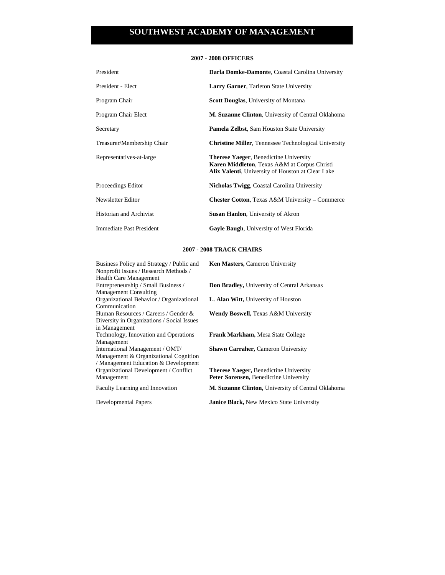## **2007 - 2008 OFFICERS**

| President                  | Darla Domke-Damonte, Coastal Carolina University                                                                                                   |
|----------------------------|----------------------------------------------------------------------------------------------------------------------------------------------------|
| President - Elect          | <b>Larry Garner, Tarleton State University</b>                                                                                                     |
| Program Chair              | <b>Scott Douglas, University of Montana</b>                                                                                                        |
| Program Chair Elect        | M. Suzanne Clinton, University of Central Oklahoma                                                                                                 |
| Secretary                  | <b>Pamela Zelbst, Sam Houston State University</b>                                                                                                 |
| Treasurer/Membership Chair | <b>Christine Miller, Tennessee Technological University</b>                                                                                        |
| Representatives-at-large   | <b>Therese Yaeger, Benedictine University</b><br>Karen Middleton, Texas A&M at Corpus Christi<br>Alix Valenti, University of Houston at Clear Lake |
| Proceedings Editor         | Nicholas Twigg, Coastal Carolina University                                                                                                        |
| Newsletter Editor          | <b>Chester Cotton, Texas A&amp;M University – Commerce</b>                                                                                         |
| Historian and Archivist    | <b>Susan Hanlon</b> , University of Akron                                                                                                          |
| Immediate Past President   | Gayle Baugh, University of West Florida                                                                                                            |

## **2007 - 2008 TRACK CHAIRS**

| Business Policy and Strategy / Public and  | Ken Masters, Cameron University                           |
|--------------------------------------------|-----------------------------------------------------------|
| Nonprofit Issues / Research Methods /      |                                                           |
| <b>Health Care Management</b>              |                                                           |
| Entrepreneurship / Small Business /        | <b>Don Bradley, University of Central Arkansas</b>        |
| <b>Management Consulting</b>               |                                                           |
| Organizational Behavior / Organizational   | <b>L. Alan Witt, University of Houston</b>                |
| Communication                              |                                                           |
| Human Resources / Careers / Gender &       | <b>Wendy Boswell, Texas A&amp;M University</b>            |
| Diversity in Organizations / Social Issues |                                                           |
| in Management                              |                                                           |
| Technology, Innovation and Operations      | <b>Frank Markham, Mesa State College</b>                  |
| Management                                 |                                                           |
| International Management / OMT/            | <b>Shawn Carraher, Cameron University</b>                 |
| Management & Organizational Cognition      |                                                           |
| / Management Education & Development       |                                                           |
| Organizational Development / Conflict      | Therese Yaeger, Benedictine University                    |
| Management                                 | Peter Sorensen, Benedictine University                    |
| Faculty Learning and Innovation            | <b>M. Suzanne Clinton, University of Central Oklahoma</b> |
| Developmental Papers                       | <b>Janice Black, New Mexico State University</b>          |
|                                            |                                                           |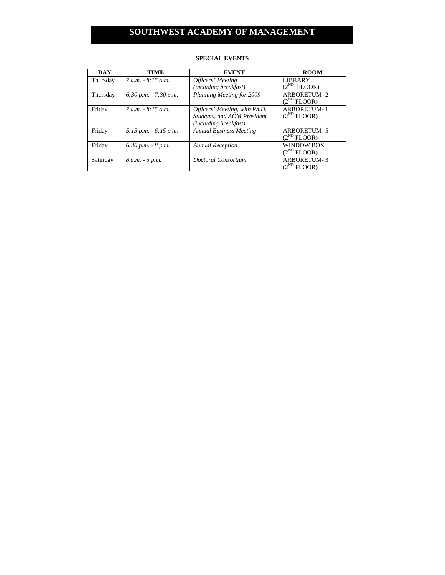| <b>DAY</b> | TIME                     | <b>EVENT</b>                   | <b>ROOM</b>        |
|------------|--------------------------|--------------------------------|--------------------|
| Thursday   | $7 a.m. - 8:15 a.m.$     | Officers' Meeting              | <b>LIBRARY</b>     |
|            |                          | (including breakfast)          | $(2^{ND}$ FLOOR)   |
| Thursday   | $6:30 p.m. - 7:30 p.m.$  | Planning Meeting for 2009      | <b>ARBORETUM-2</b> |
|            |                          |                                | $(2^{ND}$ FLOOR)   |
| Friday     | $7 a.m. - 8:15 a.m.$     | Officers' Meeting, with Ph.D.  | <b>ARBORETUM-1</b> |
|            |                          | Students, and AOM President    | $(2^{ND}$ FLOOR)   |
|            |                          | (including breakfast)          |                    |
| Friday     | $5:15$ p.m. $-6:15$ p.m. | <b>Annual Business Meeting</b> | ARBORETUM-5        |
|            |                          |                                | $(2^{ND}$ FLOOR)   |
| Friday     | $6:30 p.m. - 8 p.m.$     | <b>Annual Reception</b>        | <b>WINDOW BOX</b>  |
|            |                          |                                | $(2^{ND}$ FLOOR)   |
| Saturday   | 8 a.m. - 5 p.m.          | Doctoral Consortium            | <b>ARBORETUM-3</b> |
|            |                          |                                | $(2^{ND}$ FLOOR)   |

## **SPECIAL EVENTS**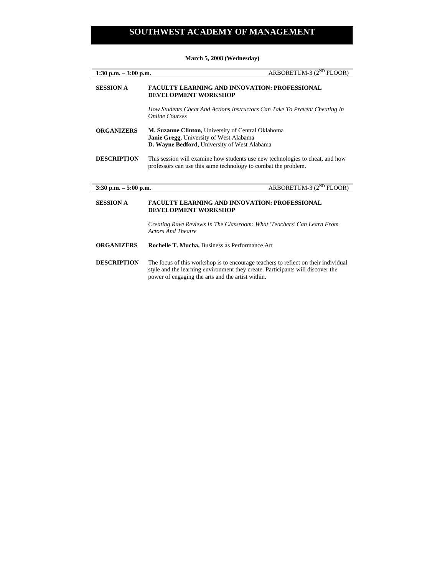| ARBORETUM-3 $(2^{ND}$ FLOOR)<br>$1:30$ p.m. $-3:00$ p.m. |                                                                                                                                                             |
|----------------------------------------------------------|-------------------------------------------------------------------------------------------------------------------------------------------------------------|
| <b>SESSION A</b>                                         | <b>FACULTY LEARNING AND INNOVATION: PROFESSIONAL</b><br><b>DEVELOPMENT WORKSHOP</b>                                                                         |
|                                                          | How Students Cheat And Actions Instructors Can Take To Prevent Cheating In<br><b>Online Courses</b>                                                         |
| <b>ORGANIZERS</b>                                        | M. Suzanne Clinton, University of Central Oklahoma<br><b>Janie Gregg, University of West Alabama</b><br><b>D. Wayne Bedford, University of West Alabama</b> |
| <b>DESCRIPTION</b>                                       | This session will examine how students use new technologies to cheat, and how<br>professors can use this same technology to combat the problem.             |
| $3:30$ p.m. $-5:00$ p.m.                                 | ARBORETUM-3 (2 <sup>ND</sup> FLOOR)                                                                                                                         |

### **March 5, 2008 (Wednesday)**

## **SESSION A FACULTY LEARNING AND INNOVATION: PROFESSIONAL DEVELOPMENT WORKSHOP**

*Creating Rave Reviews In The Classroom: What 'Teachers' Can Learn From Actors And Theatre* 

- **ORGANIZERS Rochelle T. Mucha,** Business as Performance Art
- **DESCRIPTION** The focus of this workshop is to encourage teachers to reflect on their individual style and the learning environment they create. Participants will discover the power of engaging the arts and the artist within.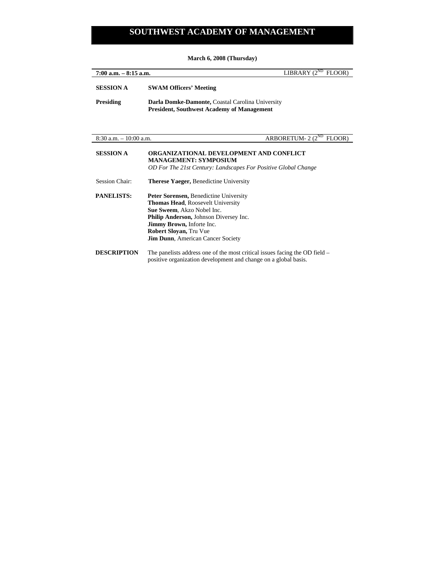**March 6, 2008 (Thursday)** 

| LIBRARY $(2^{ND}$<br>$7:00$ a.m. $-8:15$ a.m.<br>FLOOR) |                                                                                                                                                                                                                                                                                                    |
|---------------------------------------------------------|----------------------------------------------------------------------------------------------------------------------------------------------------------------------------------------------------------------------------------------------------------------------------------------------------|
| <b>SESSION A</b>                                        | <b>SWAM Officers' Meeting</b>                                                                                                                                                                                                                                                                      |
| <b>Presiding</b>                                        | Darla Domke-Damonte, Coastal Carolina University<br><b>President, Southwest Academy of Management</b>                                                                                                                                                                                              |
| $8:30$ a.m. $-10:00$ a.m.                               | ARBORETUM- $2(2^{ND}$ FLOOR)                                                                                                                                                                                                                                                                       |
| <b>SESSION A</b>                                        | ORGANIZATIONAL DEVELOPMENT AND CONFLICT<br><b>MANAGEMENT: SYMPOSIUM</b><br>OD For The 21st Century: Landscapes For Positive Global Change                                                                                                                                                          |
| <b>Session Chair:</b>                                   | <b>Therese Yaeger, Benedictine University</b>                                                                                                                                                                                                                                                      |
| <b>PANELISTS:</b>                                       | <b>Peter Sorensen, Benedictine University</b><br><b>Thomas Head, Roosevelt University</b><br><b>Sue Sweem.</b> Akzo Nobel Inc.<br><b>Philip Anderson, Johnson Diversey Inc.</b><br><b>Jimmy Brown</b> , Inforte Inc.<br><b>Robert Sloyan, Tru Vue</b><br><b>Jim Dunn</b> , American Cancer Society |
| <b>DESCRIPTION</b>                                      | The panelists address one of the most critical issues facing the OD field $-$<br>positive organization development and change on a global basis.                                                                                                                                                   |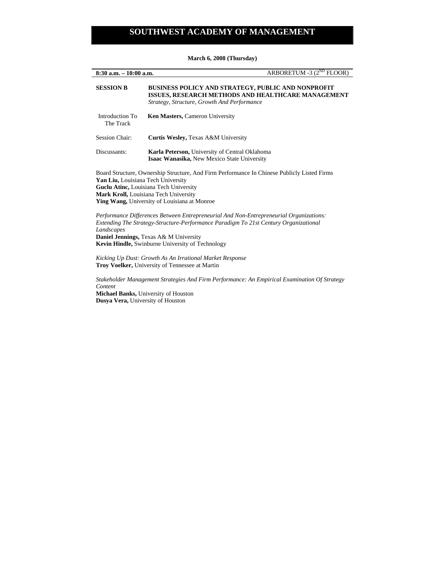**March 6, 2008 (Thursday)** 

| ARBORETUM -3 $(2^{ND}$ FLOOR)<br>$8:30$ a.m. $-10:00$ a.m.                                                                                                                                                                                                                                                   |                                                                                                                                                                |
|--------------------------------------------------------------------------------------------------------------------------------------------------------------------------------------------------------------------------------------------------------------------------------------------------------------|----------------------------------------------------------------------------------------------------------------------------------------------------------------|
| <b>SESSION B</b>                                                                                                                                                                                                                                                                                             | BUSINESS POLICY AND STRATEGY, PUBLIC AND NONPROFIT<br><b>ISSUES, RESEARCH METHODS AND HEALTHCARE MANAGEMENT</b><br>Strategy, Structure, Growth And Performance |
| Introduction To<br>The Track                                                                                                                                                                                                                                                                                 | Ken Masters, Cameron University                                                                                                                                |
| <b>Session Chair:</b>                                                                                                                                                                                                                                                                                        | Curtis Wesley, Texas A&M University                                                                                                                            |
| Discussants:                                                                                                                                                                                                                                                                                                 | Karla Peterson, University of Central Oklahoma<br><b>Isaac Wanasika, New Mexico State University</b>                                                           |
| Board Structure, Ownership Structure, And Firm Performance In Chinese Publicly Listed Firms<br>Yan Liu, Louisiana Tech University<br>Guclu Atinc, Louisiana Tech University<br>Mark Kroll, Louisiana Tech University<br><b>Ying Wang, University of Louisiana at Monroe</b>                                  |                                                                                                                                                                |
| Performance Differences Between Entrepreneurial And Non-Entrepreneurial Organizations:<br>Extending The Strategy-Structure-Performance Paradigm To 21st Century Organizational<br>Landscapes<br><b>Daniel Jennings, Texas A&amp; M University</b><br><b>Kevin Hindle, Swinburne University of Technology</b> |                                                                                                                                                                |
| Kicking Up Dust: Growth As An Irrational Market Response<br><b>Troy Voelker, University of Tennessee at Martin</b>                                                                                                                                                                                           |                                                                                                                                                                |

*Stakeholder Management Strategies And Firm Performance: An Empirical Examination Of Strategy Content* 

**Michael Banks,** University of Houston **Dusya Vera,** University of Houston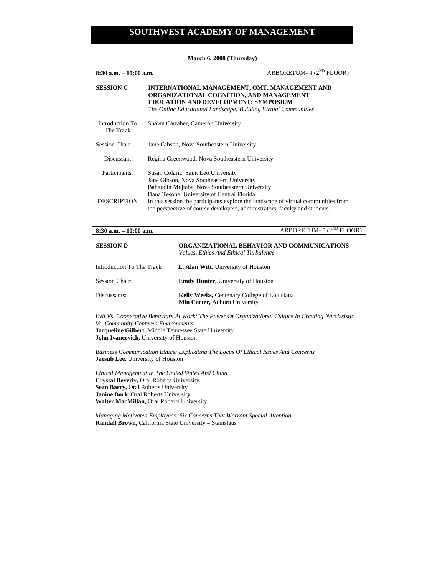**March 6, 2008 (Thursday)** 

| ARBORETUM- $4(2^{ND}$ FLOOR)<br>$8:30$ a.m. $-10:00$ a.m. |                                                                                                                                                                                                     |
|-----------------------------------------------------------|-----------------------------------------------------------------------------------------------------------------------------------------------------------------------------------------------------|
| <b>SESSION C</b>                                          | INTERNATIONAL MANAGEMENT, OMT, MANAGEMENT AND<br>ORGANIZATIONAL COGNITION, AND MANAGEMENT<br>EDUCATION AND DEVELOPMENT: SYMPOSIUM<br>The Online Educational Landscape: Building Virtual Communities |
| Introduction To<br>The Track                              | Shawn Carraher, Cameron University                                                                                                                                                                  |
| <b>Session Chair:</b>                                     | Jane Gibson, Nova Southeastern University                                                                                                                                                           |
| Discussant                                                | Regina Greenwood, Nova Southeastern University                                                                                                                                                      |
| Participants:                                             | Susan Colaric, Saint Leo University<br>Jane Gibson, Nova Southeastern University<br>Bahaudin Mujtaba, Nova Southeastern University<br>Dana Tesone, University of Central Florida                    |
| <b>DESCRIPTION</b>                                        | In this session the participants explore the landscape of virtual communities from<br>the perspective of course developers, administrators, faculty and students.                                   |

| $8:30$ a.m. $-10:00$ a.m. | ARBORETUM- 5 (2 <sup>ND</sup> FLOOR                                                        |
|---------------------------|--------------------------------------------------------------------------------------------|
| <b>SESSION D</b>          | <b>ORGANIZATIONAL BEHAVIOR AND COMMUNICATIONS</b><br>Values, Ethics And Ethical Turbulence |
| Introduction To The Track | <b>L. Alan Witt, University of Houston</b>                                                 |
| Session Chair:            | <b>Emily Hunter, University of Houston</b>                                                 |
| Discussants:              | <b>Kelly Weeks, Centenary College of Louisiana</b><br>Min Carter, Auburn University        |

*Evil Vs. Cooperative Behaviors At Work: The Power Of Organizational Culture In Creating Narcissistic Vs. Community Centered Environments*  **Jacqueline Gilbert**, Middle Tennessee State University **John Ivancevich,** University of Houston

*Business Communication Ethics: Explicating The Locus Of Ethical Issues And Concerns*  **Jaesub Lee,** University of Houston

*Ethical Management In The United States And China*  **Crystal Beverly**, Oral Roberts University **Sean Barry,** Oral Roberts University **Janine Bork**, Oral Roberts University **Walter MacMillan,** Oral Roberts University

*Managing Motivated Employees: Six Concerns That Warrant Special Attention*  **Randall Brown,** California State University – Stanislaus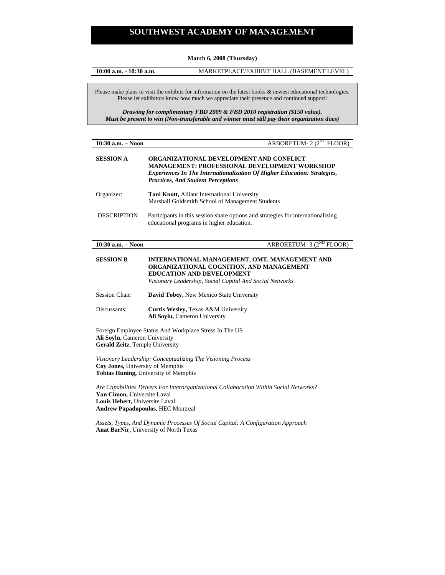**March 6, 2008 (Thursday)** 

**10:00 a.m. - 10:30 a.m.** MARKETPLACE/EXHIBIT HALL (BASEMENT LEVEL)

Please make plans to visit the exhibits for information on the latest books & newest educational technologies. Please let exhibitors know how much we appreciate their presence and continued support!

*Drawing for complimentary FBD 2009 & FBD 2010 registration (\$150 value). Must be present to win (Non-transferable and winner must still pay their organization dues)* 

| $10:30$ a.m. $-$ Noon | ARBORETUM- 2 (2 <sup>ND</sup> FLOOR)                                                                                                                                                                                                   |
|-----------------------|----------------------------------------------------------------------------------------------------------------------------------------------------------------------------------------------------------------------------------------|
| <b>SESSION A</b>      | <b>ORGANIZATIONAL DEVELOPMENT AND CONFLICT</b><br><b>MANAGEMENT: PROFESSIONAL DEVELOPMENT WORKSHOP</b><br><b>Experiences In The Internationalization Of Higher Education: Strategies,</b><br><b>Practices, And Student Perceptions</b> |
| Organizer:            | <b>Toni Knott, Alliant International University</b><br>Marshall Goldsmith School of Management Students                                                                                                                                |
| <b>DESCRIPTION</b>    | Participants in this session share options and strategies for internationalizing<br>educational programs in higher education.                                                                                                          |

### **10:30 a.m.** – Noon **ARBORETUM- 3 (2<sup>ND</sup> FLOOR)**

**SESSION B INTERNATIONAL MANAGEMENT, OMT, MANAGEMENT AND ORGANIZATIONAL COGNITION, AND MANAGEMENT EDUCATION AND DEVELOPMENT** *Visionary Leadership, Social Capital And Social Networks* 

- Session Chair: **David Tobey,** New Mexico State University
- Discussants: **Curtis Wesley,** Texas A&M University **Ali Soylu,** Cameron University

Foreign Employee Status And Workplace Stress In The US **Ali Soylu,** Cameron University **Gerald Zeitz**, Temple University

*Visionary Leadership: Conceptualizing The Visioning Process*  **Coy Jones,** University of Memphis **Tobias Huning,** University of Memphis

*Are Capabilities Drivers For Interorganizational Collaboration Within Social Networks?*  **Yan Cimon,** Universite Laval **Louis Hebert,** Universite Laval **Andrew Papadopoulos**, HEC Montreal

*Assets, Types, And Dynamic Processes Of Social Capital: A Configuration Approach*  **Anat BarNir,** University of North Texas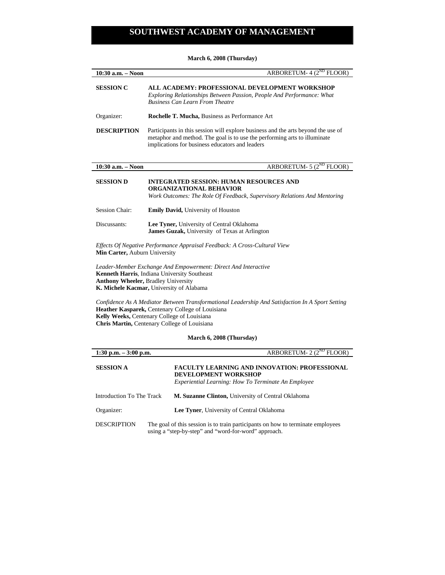**March 6, 2008 (Thursday)** 

| 10:30 a.m. - Noon                                                                                                                                                                                        | ARBORETUM- $4(2^{ND}$<br><b>FLOOR</b>                                                                                                                                                                             |
|----------------------------------------------------------------------------------------------------------------------------------------------------------------------------------------------------------|-------------------------------------------------------------------------------------------------------------------------------------------------------------------------------------------------------------------|
| <b>SESSION C</b>                                                                                                                                                                                         | ALL ACADEMY: PROFESSIONAL DEVELOPMENT WORKSHOP<br>Exploring Relationships Between Passion, People And Performance: What<br><b>Business Can Learn From Theatre</b>                                                 |
| Organizer:                                                                                                                                                                                               | <b>Rochelle T. Mucha, Business as Performance Art</b>                                                                                                                                                             |
| <b>DESCRIPTION</b>                                                                                                                                                                                       | Participants in this session will explore business and the arts beyond the use of<br>metaphor and method. The goal is to use the performing arts to illuminate<br>implications for business educators and leaders |
| 10:30 a.m. - Noon                                                                                                                                                                                        | ARBORETUM- $5(2^{ND}$ FLOOR)                                                                                                                                                                                      |
| <b>SESSION D</b>                                                                                                                                                                                         | <b>INTEGRATED SESSION: HUMAN RESOURCES AND</b><br><b>ORGANIZATIONAL BEHAVIOR</b><br>Work Outcomes: The Role Of Feedback, Supervisory Relations And Mentoring                                                      |
| <b>Session Chair:</b>                                                                                                                                                                                    | <b>Emily David, University of Houston</b>                                                                                                                                                                         |
| Discussants:                                                                                                                                                                                             | Lee Tyner, University of Central Oklahoma<br><b>James Guzak, University of Texas at Arlington</b>                                                                                                                 |
| Effects Of Negative Performance Appraisal Feedback: A Cross-Cultural View<br>Min Carter, Auburn University                                                                                               |                                                                                                                                                                                                                   |
| Leader-Member Exchange And Empowerment: Direct And Interactive<br>Kenneth Harris, Indiana University Southeast<br><b>Anthony Wheeler, Bradley University</b><br>K. Michele Kacmar, University of Alabama |                                                                                                                                                                                                                   |

*Confidence As A Mediator Between Transformational Leadership And Satisfaction In A Sport Setting*  **Heather Kasparek,** Centenary College of Louisiana **Kelly Weeks,** Centenary College of Louisiana **Chris Martin,** Centenary College of Louisiana

## **March 6, 2008 (Thursday)**

| 1:30 p.m. $-3:00$ p.m.    | ARBORETUM- $2(2^{ND}$ FLOOR)                                                                                                                      |
|---------------------------|---------------------------------------------------------------------------------------------------------------------------------------------------|
| <b>SESSION A</b>          | <b>FACULTY LEARNING AND INNOVATION: PROFESSIONAL</b><br><b>DEVELOPMENT WORKSHOP</b><br><i>Experiential Learning: How To Terminate An Employee</i> |
| Introduction To The Track | M. Suzanne Clinton, University of Central Oklahoma                                                                                                |
| Organizer:                | <b>Lee Tyner, University of Central Oklahoma</b>                                                                                                  |
| <b>DESCRIPTION</b>        | The goal of this session is to train participants on how to terminate employees<br>using a "step-by-step" and "word-for-word" approach.           |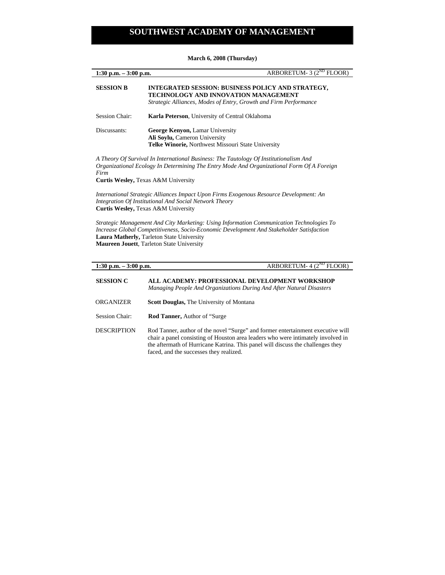**March 6, 2008 (Thursday)** 

| $1:30$ p.m. $-3:00$ p.m. | ARBORETUM- 3 $(2^{ND}$ FLOOR)                                                                                                                                                      |
|--------------------------|------------------------------------------------------------------------------------------------------------------------------------------------------------------------------------|
| <b>SESSION B</b>         | <b>INTEGRATED SESSION: BUSINESS POLICY AND STRATEGY,</b><br><b>TECHNOLOGY AND INNOVATION MANAGEMENT</b><br>Strategic Alliances, Modes of Entry, Growth and Firm Performance        |
| <b>Session Chair:</b>    | <b>Karla Peterson</b> , University of Central Oklahoma                                                                                                                             |
| Discussants:             | <b>George Kenyon, Lamar University</b><br>Ali Soylu, Cameron University<br><b>Telke Winorie, Northwest Missouri State University</b>                                               |
| Firm                     | A Theory Of Survival In International Business: The Tautology Of Institutionalism And<br>Organizational Ecology In Determining The Entry Mode And Organizational Form Of A Foreign |

**Curtis Wesley,** Texas A&M University

*International Strategic Alliances Impact Upon Firms Exogenous Resource Development: An Integration Of Institutional And Social Network Theory*  **Curtis Wesley,** Texas A&M University

*Strategic Management And City Marketing: Using Information Communication Technologies To Increase Global Competitiveness, Socio-Economic Development And Stakeholder Satisfaction*  **Laura Matherly,** Tarleton State University **Maureen Jouett**, Tarleton State University

| ARBORETUM- $4(2^{ND}$ FLOOR)<br>1:30 p.m. $-3:00$ p.m. |                                                                                                                                                                                                                                                                                                   |
|--------------------------------------------------------|---------------------------------------------------------------------------------------------------------------------------------------------------------------------------------------------------------------------------------------------------------------------------------------------------|
| <b>SESSION C</b>                                       | ALL ACADEMY: PROFESSIONAL DEVELOPMENT WORKSHOP<br>Managing People And Organizations During And After Natural Disasters                                                                                                                                                                            |
| ORGANIZER                                              | <b>Scott Douglas, The University of Montana</b>                                                                                                                                                                                                                                                   |
| <b>Session Chair:</b>                                  | <b>Rod Tanner, Author of "Surge"</b>                                                                                                                                                                                                                                                              |
| <b>DESCRIPTION</b>                                     | Rod Tanner, author of the novel "Surge" and former entertainment executive will<br>chair a panel consisting of Houston area leaders who were intimately involved in<br>the aftermath of Hurricane Katrina. This panel will discuss the challenges they<br>faced, and the successes they realized. |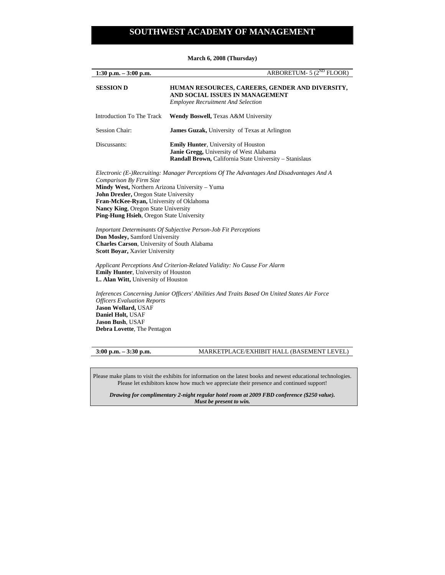| 1:30 p.m. $-3:00$ p.m.    | ARBORETUM- $5(2^{ND}$ FLOOR)                                                                                                                                   |
|---------------------------|----------------------------------------------------------------------------------------------------------------------------------------------------------------|
| <b>SESSION D</b>          | HUMAN RESOURCES, CAREERS, GENDER AND DIVERSITY,<br>AND SOCIAL ISSUES IN MANAGEMENT<br><b>Employee Recruitment And Selection</b>                                |
| Introduction To The Track | Wendy Boswell, Texas A&M University                                                                                                                            |
| <b>Session Chair:</b>     | <b>James Guzak, University of Texas at Arlington</b>                                                                                                           |
| Discussants:              | <b>Emily Hunter, University of Houston</b><br><b>Janie Gregg, University of West Alabama</b><br><b>Randall Brown, California State University – Stanislaus</b> |

**March 6, 2008 (Thursday)** 

*Electronic (E-)Recruiting: Manager Perceptions Of The Advantages And Disadvantages And A Comparison By Firm Size*  **Mindy West,** Northern Arizona University – Yuma **John Drexler,** Oregon State University **Fran-McKee-Ryan,** University of Oklahoma **Nancy King**, Oregon State University **Ping-Hung Hsieh**, Oregon State University

*Important Determinants Of Subjective Person-Job Fit Perceptions*  **Don Mosley,** Samford University **Charles Carson**, University of South Alabama **Scott Boyar,** Xavier University

*Applicant Perceptions And Criterion-Related Validity: No Cause For Alarm*  **Emily Hunter**, University of Houston **L. Alan Witt,** University of Houston

*Inferences Concerning Junior Officers' Abilities And Traits Based On United States Air Force Officers Evaluation Reports*  **Jason Wollard,** USAF **Daniel Holt,** USAF **Jason Bush**, USAF **Debra Lovette**, The Pentagon

## **3:00 p.m. – 3:30 p.m.** MARKETPLACE/EXHIBIT HALL (BASEMENT LEVEL)

Please make plans to visit the exhibits for information on the latest books and newest educational technologies. Please let exhibitors know how much we appreciate their presence and continued support!

*Drawing for complimentary 2-night regular hotel room at 2009 FBD conference (\$250 value). Must be present to win.*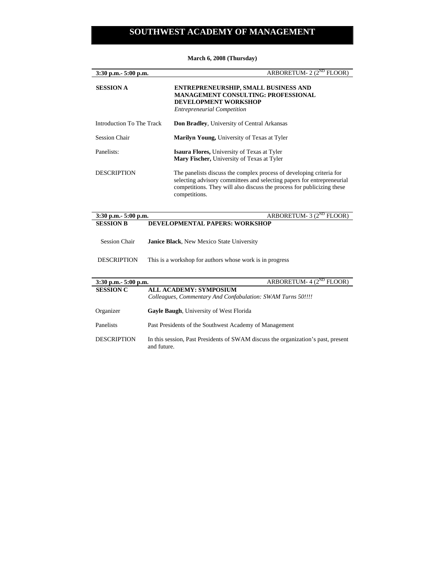| $3:30$ p.m. $-5:00$ p.m.  | ARBORETUM- 2 (2 <sup>ND</sup> FLOOR)                                                                                                                                                                                                      |
|---------------------------|-------------------------------------------------------------------------------------------------------------------------------------------------------------------------------------------------------------------------------------------|
| <b>SESSION A</b>          | <b>ENTREPRENEURSHIP, SMALL BUSINESS AND</b><br><b>MANAGEMENT CONSULTING: PROFESSIONAL</b><br><b>DEVELOPMENT WORKSHOP</b><br><b>Entrepreneurial Competition</b>                                                                            |
| Introduction To The Track | <b>Don Bradley, University of Central Arkansas</b>                                                                                                                                                                                        |
| <b>Session Chair</b>      | Marilyn Young, University of Texas at Tyler                                                                                                                                                                                               |
| Panelists:                | <b>Isaura Flores, University of Texas at Tyler</b><br><b>Mary Fischer, University of Texas at Tyler</b>                                                                                                                                   |
| <b>DESCRIPTION</b>        | The panelists discuss the complex process of developing criteria for<br>selecting advisory committees and selecting papers for entrepreneurial<br>competitions. They will also discuss the process for publicizing these<br>competitions. |
| 3:30 p.m. - 5:00 p.m.     | ARBORETUM- $3(2^{ND}$ FLOOR)                                                                                                                                                                                                              |
| <b>SESSION B</b>          | <b>DEVELOPMENTAL PAPERS: WORKSHOP</b>                                                                                                                                                                                                     |

**March 6, 2008 (Thursday)** 

- Session Chair **Janice Black**, New Mexico State University
- DESCRIPTION This is a workshop for authors whose work is in progress

| $3:30$ p.m. $5:00$ p.m. | ARBORETUM- $4(2^{ND}$ FLOOR)                                                                     |
|-------------------------|--------------------------------------------------------------------------------------------------|
| <b>SESSION C</b>        | <b>ALL ACADEMY: SYMPOSIUM</b>                                                                    |
|                         | Colleagues, Commentary And Confabulation: SWAM Turns 50!!!!                                      |
| Organizer               | <b>Gayle Baugh, University of West Florida</b>                                                   |
|                         |                                                                                                  |
| <b>Panelists</b>        | Past Presidents of the Southwest Academy of Management                                           |
| <b>DESCRIPTION</b>      | In this session, Past Presidents of SWAM discuss the organization's past, present<br>and future. |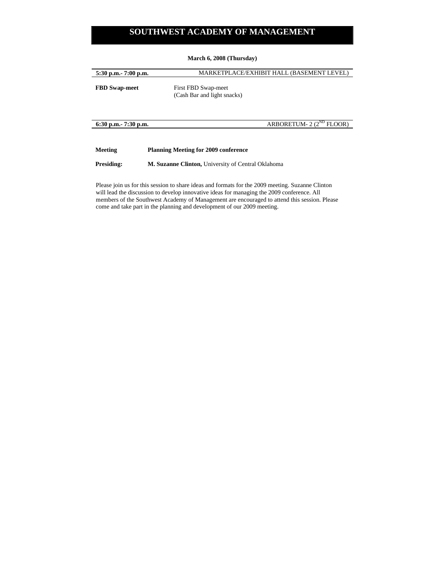## **March 6, 2008 (Thursday)**

| $5:30$ p.m. $7:00$ p.m. | MARKETPLACE/EXHIBIT HALL (BASEMENT LEVEL)          |
|-------------------------|----------------------------------------------------|
| <b>FBD</b> Swap-meet    | First FBD Swap-meet<br>(Cash Bar and light snacks) |
| $6:30$ p.m. $7:30$ p.m. | ARBORETUM- $2(2^{ND}$ FLOOR)                       |

**Meeting Planning Meeting for 2009 conference** 

**Presiding: M. Suzanne Clinton,** University of Central Oklahoma

Please join us for this session to share ideas and formats for the 2009 meeting. Suzanne Clinton will lead the discussion to develop innovative ideas for managing the 2009 conference. All members of the Southwest Academy of Management are encouraged to attend this session. Please come and take part in the planning and development of our 2009 meeting.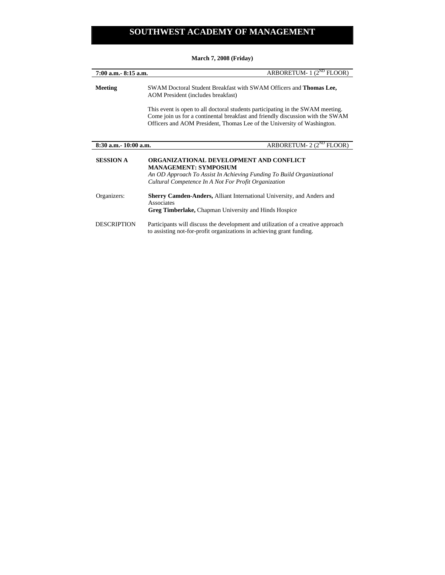**March 7, 2008 (Friday)** 

| 7:00 a.m. - 8:15 a.m. | ARBORETUM- $1(2^{ND}$ FLOOR)                                                                                                                                                                                                                |
|-----------------------|---------------------------------------------------------------------------------------------------------------------------------------------------------------------------------------------------------------------------------------------|
| <b>Meeting</b>        | SWAM Doctoral Student Breakfast with SWAM Officers and Thomas Lee,<br>AOM President (includes breakfast)                                                                                                                                    |
|                       | This event is open to all doctoral students participating in the SWAM meeting.<br>Come join us for a continental breakfast and friendly discussion with the SWAM<br>Officers and AOM President, Thomas Lee of the University of Washington. |
| 8:30 a.m. -10:00 a.m. | ARBORETUM- 2 (2 <sup>ND</sup> FLOOR)                                                                                                                                                                                                        |
| <b>SESSION A</b>      | ORGANIZATIONAL DEVELOPMENT AND CONFLICT<br><b>MANAGEMENT: SYMPOSIUM</b><br>An OD Approach To Assist In Achieving Funding To Build Organizational<br>Cultural Competence In A Not For Profit Organization                                    |
| Organizers:           | <b>Sherry Camden-Anders, Alliant International University, and Anders and</b><br>Associates<br><b>Greg Timberlake, Chapman University and Hinds Hospice</b>                                                                                 |
| <b>DESCRIPTION</b>    | Participants will discuss the development and utilization of a creative approach<br>to assisting not-for-profit organizations in achieving grant funding.                                                                                   |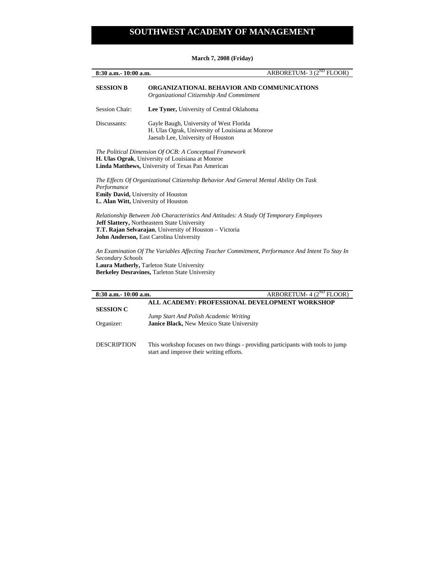**8:30 a.m.**- 10:00 a.m. *ARBORETUM- 3 (2<sup>ND</sup> FLOOR)* **SESSION B ORGANIZATIONAL BEHAVIOR AND COMMUNICATIONS** *Organizational Citizenship And Commitment*  Session Chair: **Lee Tyner,** University of Central Oklahoma Discussants: Gayle Baugh, University of West Florida H. Ulas Ograk, University of Louisiana at Monroe Jaesub Lee, University of Houston *The Political Dimension Of OCB: A Conceptual Framework*  **H. Ulas Ograk**, University of Louisiana at Monroe **Linda Matthews,** University of Texas Pan American *The Effects Of Organizational Citizenship Behavior And General Mental Ability On Task Performance*  **Emily David,** University of Houston **L. Alan Witt,** University of Houston *Relationship Between Job Characteristics And Attitudes: A Study Of Temporary Employees*  **Jeff Slattery,** Northeastern State University **T.T. Rajan Selvarajan**, University of Houston – Victoria **John Anderson,** East Carolina University

*An Examination Of The Variables Affecting Teacher Commitment, Performance And Intent To Stay In Secondary Schools*  **Laura Matherly,** Tarleton State University **Berkeley Desravines,** Tarleton State University

| $8:30$ a.m. $10:00$ a.m. | ARBORETUM- $4(2^{ND}$ FLOOR)                                                    |
|--------------------------|---------------------------------------------------------------------------------|
|                          | ALL ACADEMY: PROFESSIONAL DEVELOPMENT WORKSHOP                                  |
| <b>SESSION C</b>         |                                                                                 |
|                          | Jump Start And Polish Academic Writing                                          |
| Organizer:               | <b>Janice Black, New Mexico State University</b>                                |
|                          |                                                                                 |
| <b>DESCRIPTION</b>       | This workshop focuses on two things - providing participants with tools to jump |
|                          | start and improve their writing efforts.                                        |
|                          |                                                                                 |

#### **March 7, 2008 (Friday)**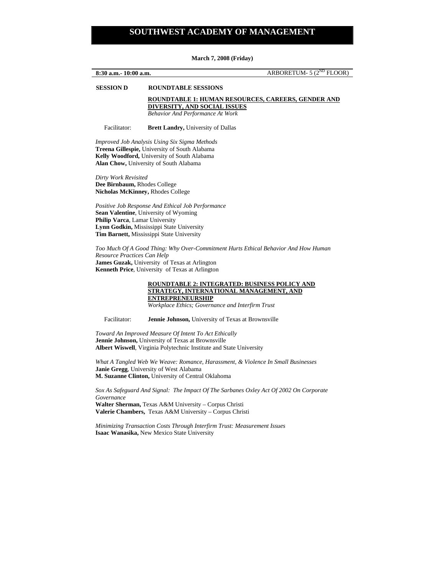**March 7, 2008 (Friday)**

**8:30 a.m.**- 10:00 a.m. *ARBORETUM- 5 (2<sup>ND</sup> FLOOR)* **SESSION D ROUNDTABLE SESSIONS ROUNDTABLE 1: HUMAN RESOURCES, CAREERS, GENDER AND DIVERSITY, AND SOCIAL ISSUES** 

*Behavior And Performance At Work* 

Facilitator: **Brett Landry,** University of Dallas

*Improved Job Analysis Using Six Sigma Methods*  **Treena Gillespie,** University of South Alabama **Kelly Woodford,** University of South Alabama **Alan Chow,** University of South Alabama

*Dirty Work Revisited*  **Dee Birnbaum,** Rhodes College **Nicholas McKinney,** Rhodes College

*Positive Job Response And Ethical Job Performance*  **Sean Valentine**, University of Wyoming **Philip Varca**, Lamar University **Lynn Godkin,** Mississippi State University **Tim Barnett,** Mississippi State University

*Too Much Of A Good Thing: Why Over-Commitment Hurts Ethical Behavior And How Human Resource Practices Can Help*  **James Guzak,** University of Texas at Arlington **Kenneth Price**, University of Texas at Arlington

### **ROUNDTABLE 2: INTEGRATED: BUSINESS POLICY AND STRATEGY, INTERNATIONAL MANAGEMENT, AND ENTREPRENEURSHIP**

*Workplace Ethics; Governance and Interfirm Trust* 

Facilitator: **Jennie Johnson,** University of Texas at Brownsville

*Toward An Improved Measure Of Intent To Act Ethically*  **Jennie Johnson,** University of Texas at Brownsville **Albert Wiswell**, Virginia Polytechnic Institute and State University

*What A Tangled Web We Weave: Romance, Harassment, & Violence In Small Businesses*  **Janie Gregg**, University of West Alabama **M. Suzanne Clinton,** University of Central Oklahoma

*Sox As Safeguard And Signal: The Impact Of The Sarbanes Oxley Act Of 2002 On Corporate Governance*  **Walter Sherman,** Texas A&M University – Corpus Christi **Valerie Chambers,** Texas A&M University – Corpus Christi

*Minimizing Transaction Costs Through Interfirm Trust: Measurement Issues*  **Isaac Wanasika,** New Mexico State University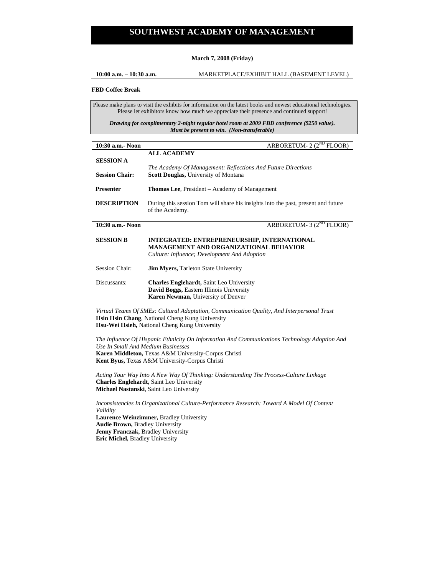#### **March 7, 2008 (Friday)**

**10:00 a.m. – 10:30 a.m.** MARKETPLACE/EXHIBIT HALL (BASEMENT LEVEL)

#### **FBD Coffee Break**

Please make plans to visit the exhibits for information on the latest books and newest educational technologies. Please let exhibitors know how much we appreciate their presence and continued support!

*Drawing for complimentary 2-night regular hotel room at 2009 FBD conference (\$250 value). Must be present to win. (Non-transferable)* 

| 10:30 a.m. Noon       | ARBORETUM- $2(2^{ND}$ FLOOR)                                                                                                                 |
|-----------------------|----------------------------------------------------------------------------------------------------------------------------------------------|
| <b>SESSION A</b>      | <b>ALL ACADEMY</b><br>The Academy Of Management: Reflections And Future Directions                                                           |
| <b>Session Chair:</b> | <b>Scott Douglas, University of Montana</b>                                                                                                  |
| <b>Presenter</b>      | <b>Thomas Lee, President – Academy of Management</b>                                                                                         |
| <b>DESCRIPTION</b>    | During this session Tom will share his insights into the past, present and future<br>of the Academy.                                         |
| 10:30 a.m. Noon       | ARBORETUM- $3(2^{ND}$ FLOOR)                                                                                                                 |
| <b>SESSION B</b>      | INTEGRATED: ENTREPRENEURSHIP, INTERNATIONAL<br><b>MANAGEMENT AND ORGANIZATIONAL BEHAVIOR</b><br>Culture: Influence; Development And Adoption |
| <b>Session Chair:</b> | <b>Jim Myers, Tarleton State University</b>                                                                                                  |
| Discussants:          | <b>Charles Englehardt, Saint Leo University</b><br>David Boggs, Eastern Illinois University<br>Karen Newman, University of Denver            |
|                       | $W$ if $\alpha$ called the $\alpha$ is the $\alpha$ is the $\alpha$ is the $\alpha$ is the $\alpha$ is the $\alpha$                          |

*Virtual Teams Of SMEs: Cultural Adaptation, Communication Quality, And Interpersonal Trust*  **Hsin Hsin Chang**, National Cheng Kung University **Hsu-Wei Hsieh,** National Cheng Kung University

*The Influence Of Hispanic Ethnicity On Information And Communications Technology Adoption And Use In Small And Medium Businesses*  **Karen Middleton,** Texas A&M University-Corpus Christi **Kent Byus,** Texas A&M University-Corpus Christi

*Acting Your Way Into A New Way Of Thinking: Understanding The Process-Culture Linkage*  **Charles Englehardt,** Saint Leo University **Michael Nastanski**, Saint Leo University

*Inconsistencies In Organizational Culture-Performance Research: Toward A Model Of Content Validity*  **Laurence Weinzimmer,** Bradley University **Audie Brown,** Bradley University **Jenny Franczak,** Bradley University **Eric Michel,** Bradley University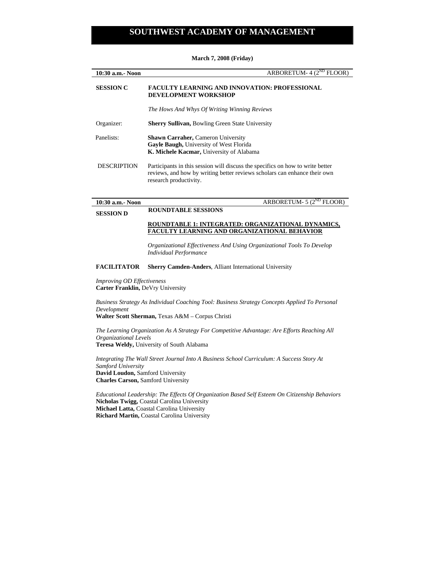| 10:30 a.m.- Noon                                                                                                                                                                                 | ARBORETUM- 4 $(2^{ND}$ FLOOR)                                                                                                                                                                                 |  |
|--------------------------------------------------------------------------------------------------------------------------------------------------------------------------------------------------|---------------------------------------------------------------------------------------------------------------------------------------------------------------------------------------------------------------|--|
| <b>SESSION C</b>                                                                                                                                                                                 | <b>FACULTY LEARNING AND INNOVATION: PROFESSIONAL</b><br><b>DEVELOPMENT WORKSHOP</b>                                                                                                                           |  |
|                                                                                                                                                                                                  | The Hows And Whys Of Writing Winning Reviews                                                                                                                                                                  |  |
| Organizer:                                                                                                                                                                                       | Sherry Sullivan, Bowling Green State University                                                                                                                                                               |  |
| Panelists:                                                                                                                                                                                       | Shawn Carraher, Cameron University<br>Gayle Baugh, University of West Florida<br>K. Michele Kacmar, University of Alabama                                                                                     |  |
| <b>DESCRIPTION</b>                                                                                                                                                                               | Participants in this session will discuss the specifics on how to write better<br>reviews, and how by writing better reviews scholars can enhance their own<br>research productivity.                         |  |
| 10:30 a.m.- Noon                                                                                                                                                                                 | ARBORETUM- $5(2^{ND}$ FLOOR)                                                                                                                                                                                  |  |
| <b>SESSION D</b>                                                                                                                                                                                 | <b>ROUNDTABLE SESSIONS</b>                                                                                                                                                                                    |  |
|                                                                                                                                                                                                  | ROUNDTABLE 1: INTEGRATED: ORGANIZATIONAL DYNAMICS,<br>FACULTY LEARNING AND ORGANIZATIONAL BEHAVIOR<br>Organizational Effectiveness And Using Organizational Tools To Develop<br><b>Individual Performance</b> |  |
| <b>FACILITATOR</b>                                                                                                                                                                               | <b>Sherry Camden-Anders, Alliant International University</b>                                                                                                                                                 |  |
| Improving OD Effectiveness<br>Carter Franklin, DeVry University                                                                                                                                  |                                                                                                                                                                                                               |  |
| Business Strategy As Individual Coaching Tool: Business Strategy Concepts Applied To Personal<br>Development                                                                                     |                                                                                                                                                                                                               |  |
| Walter Scott Sherman, Texas A&M - Corpus Christi                                                                                                                                                 |                                                                                                                                                                                                               |  |
| The Learning Organization As A Strategy For Competitive Advantage: Are Efforts Reaching All<br>Organizational Levels                                                                             |                                                                                                                                                                                                               |  |
| Teresa Weldy, University of South Alabama                                                                                                                                                        |                                                                                                                                                                                                               |  |
| Integrating The Wall Street Journal Into A Business School Curriculum: A Success Story At<br>Samford University<br>David Loudon, Samford University<br><b>Charles Carson, Samford University</b> |                                                                                                                                                                                                               |  |
| Educational Leadership: The Effects Of Organization Based Self Esteem On Citizenship Behaviors<br>Nicholas Twigg, Coastal Carolina University<br>Michael Latta Coastal Carolina University       |                                                                                                                                                                                                               |  |

## **March 7, 2008 (Friday)**

**Michael Latta,** Coastal Carolina University **Richard Martin,** Coastal Carolina University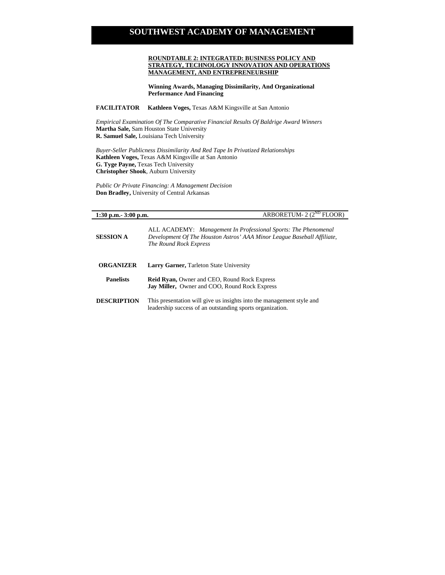## **ROUNDTABLE 2: INTEGRATED: BUSINESS POLICY AND STRATEGY, TECHNOLOGY INNOVATION AND OPERATIONS MANAGEMENT, AND ENTREPRENEURSHIP**

**Winning Awards, Managing Dissimilarity, And Organizational Performance And Financing** 

**FACILITATOR Kathleen Voges,** Texas A&M Kingsville at San Antonio

*Empirical Examination Of The Comparative Financial Results Of Baldrige Award Winners*  **Martha Sale,** Sam Houston State University **R. Samuel Sale,** Louisiana Tech University

*Buyer-Seller Publicness Dissimilarity And Red Tape In Privatized Relationships*  **Kathleen Voges,** Texas A&M Kingsville at San Antonio **G. Tyge Payne,** Texas Tech University **Christopher Shook**, Auburn University

*Public Or Private Financing: A Management Decision*  **Don Bradley,** University of Central Arkansas

## **1:30 p.m.- 3:00 p.m. ARBORETUM- 2 (2<sup>ND</sup> FLOOR)**

| <b>SESSION A</b>   | ALL ACADEMY: Management In Professional Sports: The Phenomenal<br>Development Of The Houston Astros' AAA Minor League Baseball Affiliate,<br>The Round Rock Express |
|--------------------|---------------------------------------------------------------------------------------------------------------------------------------------------------------------|
| <b>ORGANIZER</b>   | <b>Larry Garner, Tarleton State University</b>                                                                                                                      |
| <b>Panelists</b>   | <b>Reid Ryan, Owner and CEO, Round Rock Express</b><br><b>Jay Miller, Owner and COO, Round Rock Express</b>                                                         |
| <b>DESCRIPTION</b> | This presentation will give us insights into the management style and<br>leadership success of an outstanding sports organization.                                  |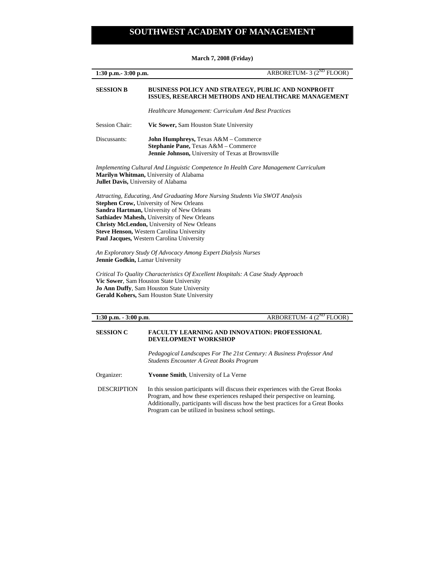|                                                                                                                                                                                                                                                                                                                                                                      | ARBORETUM- 3 (2 <sup>ND</sup> FLOOR) |  |
|----------------------------------------------------------------------------------------------------------------------------------------------------------------------------------------------------------------------------------------------------------------------------------------------------------------------------------------------------------------------|--------------------------------------|--|
| <b>SESSION B</b><br>BUSINESS POLICY AND STRATEGY, PUBLIC AND NONPROFIT<br>ISSUES, RESEARCH METHODS AND HEALTHCARE MANAGEMENT                                                                                                                                                                                                                                         |                                      |  |
| <b>Healthcare Management: Curriculum And Best Practices</b>                                                                                                                                                                                                                                                                                                          |                                      |  |
| <b>Session Chair:</b><br>Vic Sower, Sam Houston State University                                                                                                                                                                                                                                                                                                     |                                      |  |
| Discussants:<br>John Humphreys, Texas A&M - Commerce<br>Stephanie Pane, Texas A&M - Commerce<br>Jennie Johnson, University of Texas at Brownsville                                                                                                                                                                                                                   |                                      |  |
| Implementing Cultural And Linguistic Competence In Health Care Management Curriculum<br>Marilyn Whitman, University of Alabama<br><b>Jullet Davis, University of Alabama</b>                                                                                                                                                                                         |                                      |  |
| Attracting, Educating, And Graduating More Nursing Students Via SWOT Analysis<br><b>Stephen Crow, University of New Orleans</b><br>Sandra Hartman, University of New Orleans<br>Sathiadev Mahesh, University of New Orleans<br>Christy McLendon, University of New Orleans<br>Steve Henson, Western Carolina University<br>Paul Jacques, Western Carolina University |                                      |  |
| An Exploratory Study Of Advocacy Among Expert Dialysis Nurses<br>Jennie Godkin, Lamar University                                                                                                                                                                                                                                                                     |                                      |  |
| Critical To Quality Characteristics Of Excellent Hospitals: A Case Study Approach<br>Vic Sower, Sam Houston State University<br>Jo Ann Duffy, Sam Houston State University<br>Gerald Kohers, Sam Houston State University                                                                                                                                            |                                      |  |
| $1:30$ p.m. $-3:00$ p.m.                                                                                                                                                                                                                                                                                                                                             | ARBORETUM- 4 (2 <sup>ND</sup> FLOOR) |  |

## **March 7, 2008 (Friday)**

## **SESSION C FACULTY LEARNING AND INNOVATION: PROFESSIONAL DEVELOPMENT WORKSHOP**

*Pedagogical Landscapes For The 21st Century: A Business Professor And Students Encounter A Great Books Program* 

Organizer: **Yvonne Smith**, University of La Verne

DESCRIPTION In this session participants will discuss their experiences with the Great Books Program, and how these experiences reshaped their perspective on learning. Additionally, participants will discuss how the best practices for a Great Books Program can be utilized in business school settings.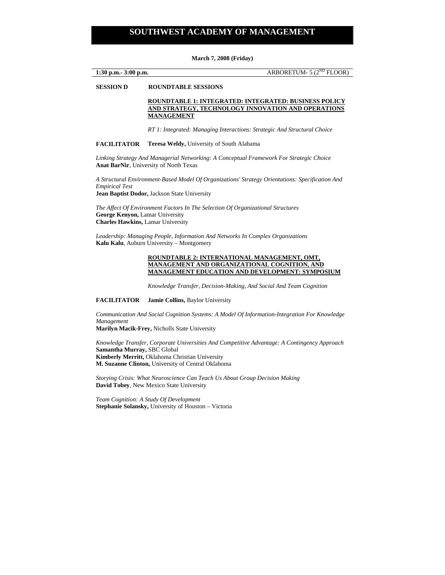#### **March 7, 2008 (Friday)**

**1:30 p.m. 3:00 p.m. ARBORETUM- 5 (2<sup>ND</sup> FLOOR)** 

**SESSION D ROUNDTABLE SESSIONS** 

 **ROUNDTABLE 1: INTEGRATED: INTEGRATED: BUSINESS POLICY AND STRATEGY, TECHNOLOGY INNOVATION AND OPERATIONS MANAGEMENT**

*RT 1: Integrated: Managing Interactions: Strategic And Structural Choice* 

## **FACILITATOR Teresa Weldy,** University of South Alabama

*Linking Strategy And Managerial Networking: A Conceptual Framework For Strategic Choice*  **Anat BarNir**, University of North Texas

*A Structural Environment-Based Model Of Organizations' Strategy Orientations: Specification And Empirical Test* 

**Jean Baptist Dodor,** Jackson State University

*The Affect Of Environment Factors In The Selection Of Organizational Structures*  **George Kenyon,** Lamar University **Charles Hawkins,** Lamar University

*Leadership: Managing People, Information And Networks In Complex Organizations*  **Kalu Kalu**, Auburn University – Montgomery

#### **ROUNDTABLE 2: INTERNATIONAL MANAGEMENT, OMT, MANAGEMENT AND ORGANIZATIONAL COGNITION, AND MANAGEMENT EDUCATION AND DEVELOPMENT: SYMPOSIUM**

*Knowledge Transfer, Decision-Making, And Social And Team Cognition* 

**FACILITATOR Jamie Collins,** Baylor University

*Communication And Social Cognition Systems: A Model Of Information-Integration For Knowledge Management* 

**Marilyn Macik-Frey,** Nicholls State University

*Knowledge Transfer, Corporate Universities And Competitive Advantage: A Contingency Approach*  **Samantha Murray,** SBC Global **Kimberly Merritt,** Oklahoma Christian University **M. Suzanne Clinton,** University of Central Oklahoma

*Storying Crisis: What Neuroscience Can Teach Us About Group Decision Making*  **David Tobey**, New Mexico State University

*Team Cognition: A Study Of Development*  **Stephanie Solansky,** University of Houston – Victoria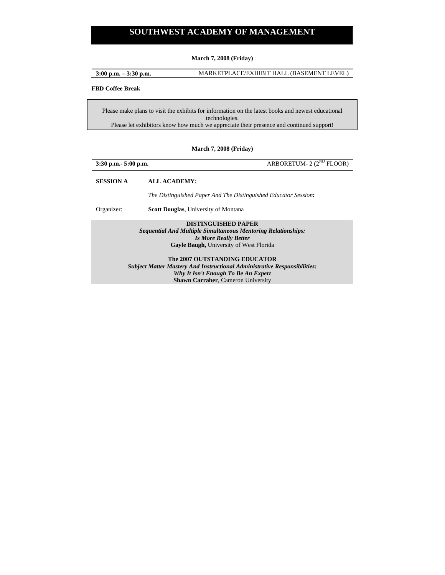**March 7, 2008 (Friday)** 

**3:00 p.m. – 3:30 p.m.** MARKETPLACE/EXHIBIT HALL (BASEMENT LEVEL)

## **FBD Coffee Break**

Please make plans to visit the exhibits for information on the latest books and newest educational technologies. Please let exhibitors know how much we appreciate their presence and continued support!

## **March 7, 2008 (Friday)**

| 3:30 p.m. - 5:00 p.m. | ARBORETUM- $2(2^{ND}$ FLOOR)                                                                                                                                                                          |
|-----------------------|-------------------------------------------------------------------------------------------------------------------------------------------------------------------------------------------------------|
| <b>SESSION A</b>      | ALL ACADEMY:                                                                                                                                                                                          |
|                       | The Distinguished Paper And The Distinguished Educator Session:                                                                                                                                       |
| Organizer:            | <b>Scott Douglas, University of Montana</b>                                                                                                                                                           |
|                       | <b>DISTINGUISHED PAPER</b><br>Sequential And Multiple Simultaneous Mentoring Relationships:<br><b>Is More Really Better</b><br>Gayle Baugh, University of West Florida                                |
|                       | The 2007 OUTSTANDING EDUCATOR<br><b>Subject Matter Mastery And Instructional Administrative Responsibilities:</b><br>Why It Isn't Enough To Be An Expert<br><b>Shawn Carraher, Cameron University</b> |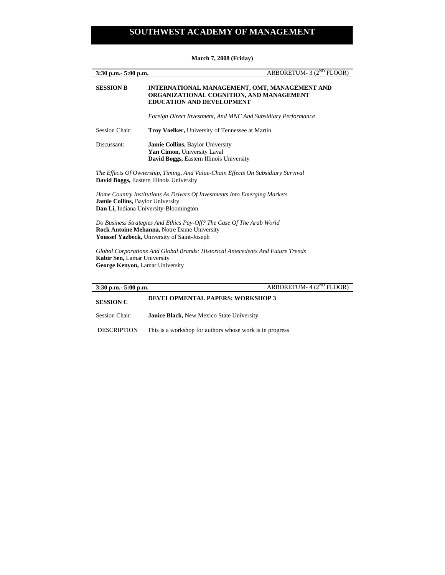**3:30 p.m.** 5:00 p.m. **ARBORETUM- 3 (2<sup>ND</sup> FLOOR) SESSION B INTERNATIONAL MANAGEMENT, OMT, MANAGEMENT AND ORGANIZATIONAL COGNITION, AND MANAGEMENT EDUCATION AND DEVELOPMENT** *Foreign Direct Investment, And MNC And Subsidiary Performance*  Session Chair: **Troy Voelker,** University of Tennessee at Martin Discussant: **Jamie Collins,** Baylor University **Yan Cimon,** University Laval **David Boggs,** Eastern Illinois University *The Effects Of Ownership, Timing, And Value-Chain Effects On Subsidiary Survival*  **David Boggs,** Eastern Illinois University *Home Country Institutions As Drivers Of Investments Into Emerging Markets*  **Jamie Collins,** Baylor University **Dan Li,** Indiana University-Bloomington *Do Business Strategies And Ethics Pay-Off? The Case Of The Arab World*  **Rock Antoine Mehanna,** Notre Dame University **Youssef Yazbeck,** University of Saint-Joseph

*Global Corporations And Global Brands: Historical Antecedents And Future Trends*  **Kabir Sen,** Lamar University **George Kenyon,** Lamar University

|                                                          | ARBORETUM- $4(2^{ND}$ FLOOR) |
|----------------------------------------------------------|------------------------------|
| <b>DEVELOPMENTAL PAPERS: WORKSHOP 3</b>                  |                              |
| <b>Janice Black, New Mexico State University</b>         |                              |
| This is a workshop for authors whose work is in progress |                              |
|                                                          | $3:30$ p.m. $5:00$ p.m.      |

#### **March 7, 2008 (Friday)**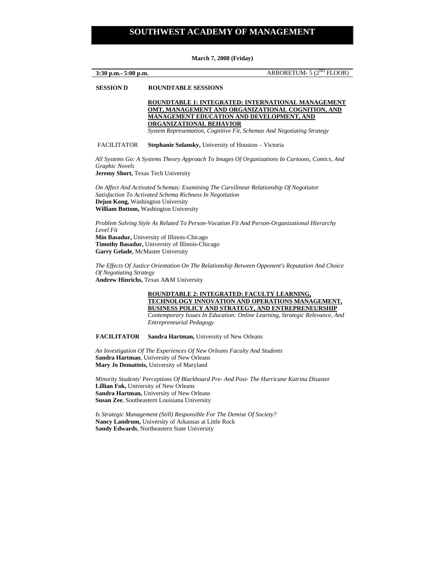#### **March 7, 2008 (Friday)**

**3:30 p.m.**- 5:00 p.m. **ARBORETUM- 5 (2<sup>ND</sup> FLOOR)** 

#### **SESSION D ROUNDTABLE SESSIONS**

 **ROUNDTABLE 1: INTEGRATED: INTERNATIONAL MANAGEMENT OMT, MANAGEMENT AND ORGANIZATIONAL COGNITION, AND MANAGEMENT EDUCATION AND DEVELOPMENT, AND ORGANIZATIONAL BEHAVIOR** 

*System Representation, Cognitive Fit, Schemas And Negotiating Strategy* 

#### FACILITATOR **Stephanie Solansky,** University of Houston – Victoria

*All Systems Go: A Systems Theory Approach To Images Of Organizations In Cartoons, Comics, And Graphic Novels*  **Jeremy Short,** Texas Tech University

*On Affect And Activated Schemas: Examining The Curvilinear Relationship Of Negotiator Satisfaction To Activated Schema Richness In Negotiation*  **Dejun Kong,** Washington University **William Bottom,** Washington University

*Problem Solving Style As Related To Person-Vocation Fit And Person-Organizational Hierarchy Level Fit*  **Min Basadur,** University of Illinois-Chicago **Timothy Basadur,** University of Illinois-Chicago

**Garry Gelade**, McMaster University

*The Effects Of Justice Orientation On The Relationship Between Opponent's Reputation And Choice Of Negotiating Strategy*  **Andrew Hinrichs,** Texas A&M University

> **ROUNDTABLE 2: INTEGRATED: FACULTY LEARNING, TECHNOLOGY INNOVATION AND OPERATIONS MANAGEMENT, BUSINESS POLICY AND STRATEGY, AND ENTREPRENEURSHIP**  *Contemporary Issues In Education: Online Learning, Strategic Relevance, And Entrepreneurial Pedagogy*

**FACILITATOR Sandra Hartman,** University of New Orleans

*An Investigation Of The Experiences Of New Orleans Faculty And Students*  **Sandra Hartman**, University of New Orleans **Mary Jo Dematteis,** University of Maryland

*Minority Students' Perceptions Of Blackboard Pre- And Post- The Hurricane Katrina Disaster*  **Lillian Fok,** University of New Orleans **Sandra Hartman,** University of New Orleans **Susan Zee**, Southeastern Louisiana University

*Is Strategic Management (Still) Responsible For The Demise Of Society?*  **Nancy Landrum,** University of Arkansas at Little Rock **Sandy Edwards**, Northeastern State University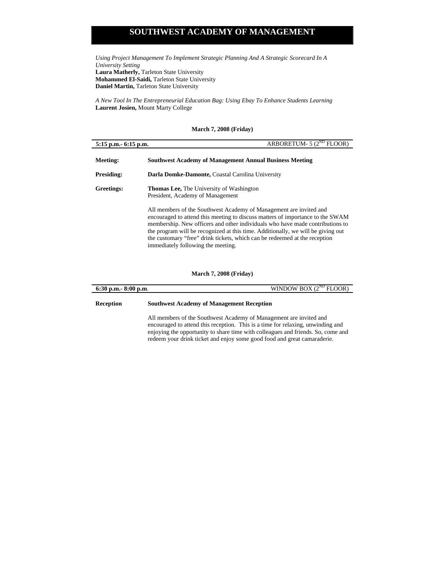*Using Project Management To Implement Strategic Planning And A Strategic Scorecard In A University Setting*  **Laura Matherly,** Tarleton State University **Mohammed El-Saidi,** Tarleton State University **Daniel Martin,** Tarleton State University

*A New Tool In The Entrepreneurial Education Bag: Using Ebay To Enhance Students Learning*  **Laurent Josien,** Mount Marty College

## **March 7, 2008 (Friday)**

| $5:15$ p.m. $-6:15$ p.m. | ARBORETUM- $5(2^{ND}$ FLOOR)                                                                                                                                                                                                                                                                                                                                                                                                                  |  |  |  |
|--------------------------|-----------------------------------------------------------------------------------------------------------------------------------------------------------------------------------------------------------------------------------------------------------------------------------------------------------------------------------------------------------------------------------------------------------------------------------------------|--|--|--|
| Meeting:                 | <b>Southwest Academy of Management Annual Business Meeting</b>                                                                                                                                                                                                                                                                                                                                                                                |  |  |  |
| <b>Presiding:</b>        | Darla Domke-Damonte, Coastal Carolina University                                                                                                                                                                                                                                                                                                                                                                                              |  |  |  |
| Greetings:               | <b>Thomas Lee, The University of Washington</b><br>President, Academy of Management                                                                                                                                                                                                                                                                                                                                                           |  |  |  |
|                          | All members of the Southwest Academy of Management are invited and<br>encouraged to attend this meeting to discuss matters of importance to the SWAM<br>membership. New officers and other individuals who have made contributions to<br>the program will be recognized at this time. Additionally, we will be giving out<br>the customary "free" drink tickets, which can be redeemed at the reception<br>immediately following the meeting. |  |  |  |

## **March 7, 2008 (Friday)**

| $6:30$ p.m. $8:00$ p.m. | WINDOW BOX $(2^{ND}$ FLOOR)                                                                                                                                                                                                                                                                                           |  |  |
|-------------------------|-----------------------------------------------------------------------------------------------------------------------------------------------------------------------------------------------------------------------------------------------------------------------------------------------------------------------|--|--|
| Reception               | <b>Southwest Academy of Management Reception</b>                                                                                                                                                                                                                                                                      |  |  |
|                         | All members of the Southwest Academy of Management are invited and<br>encouraged to attend this reception. This is a time for relaxing, unwinding and<br>enjoying the opportunity to share time with colleagues and friends. So, come and<br>redeem your drink ticket and enjoy some good food and great camaraderie. |  |  |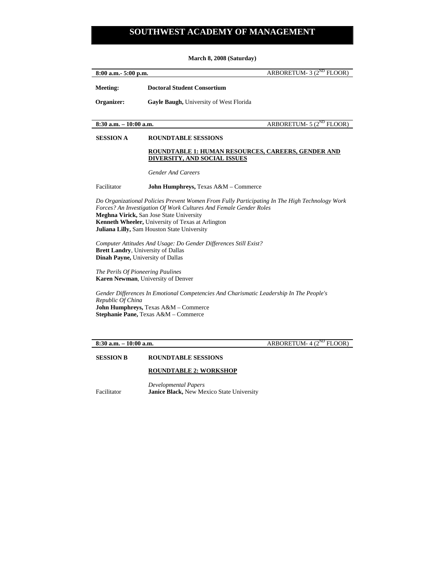**March 8, 2008 (Saturday)** 

| 8:00 a.m. - 5:00 p.n |  |
|----------------------|--|
|                      |  |

**8.8.100 a.m.** ARBORETUM- 3 ( $2^{ND}$  FLOOR)

**Meeting: Doctoral Student Consortium** 

**Organizer: Gayle Baugh,** University of West Florida

**8:30 a.m.** – 10:00 a.m. **b** and **ARBORETUM- 5 (2<sup>ND</sup> FLOOR)** 

## **SESSION A ROUNDTABLE SESSIONS**

## **ROUNDTABLE 1: HUMAN RESOURCES, CAREERS, GENDER AND DIVERSITY, AND SOCIAL ISSUES**

*Gender And Careers* 

Facilitator **John Humphreys,** Texas A&M – Commerce

*Do Organizational Policies Prevent Women From Fully Participating In The High Technology Work Forces? An Investigation Of Work Cultures And Female Gender Roles*  **Meghna Virick,** San Jose State University **Kenneth Wheeler,** University of Texas at Arlington **Juliana Lilly,** Sam Houston State University

*Computer Attitudes And Usage: Do Gender Differences Still Exist?*  **Brett Landry**, University of Dallas **Dinah Payne,** University of Dallas

*The Perils Of Pioneering Paulines*  **Karen Newman**, University of Denver

*Gender Differences In Emotional Competencies And Charismatic Leadership In The People's Republic Of China*  **John Humphreys,** Texas A&M – Commerce **Stephanie Pane,** Texas A&M – Commerce

**8:30 a.m. – 10:00 a.m. ARBORETUM- 4 (2<sup>ND</sup> FLOOR)** 

## **SESSION B ROUNDTABLE SESSIONS**

## **ROUNDTABLE 2: WORKSHOP**

*Developmental Papers* Facilitator **Janice Black,** New Mexico State University